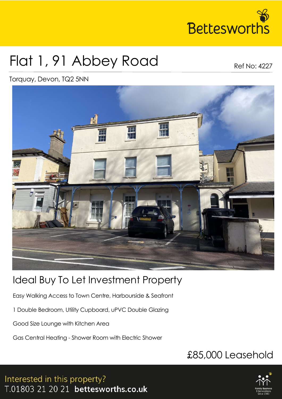

# Flat 1, 91 Abbey Road

Ref No: 4227

Torquay, Devon, TQ2 5NN



## Ideal Buy To Let Investment Property

Easy Walking Access to Town Centre, Harbourside & Seafront

1 Double Bedroom, Utility Cupboard, uPVC Double Glazing

Good Size Lounge with Kitchen Area

Gas Central Heating - Shower Room with Electric Shower

## £85,000 Leasehold